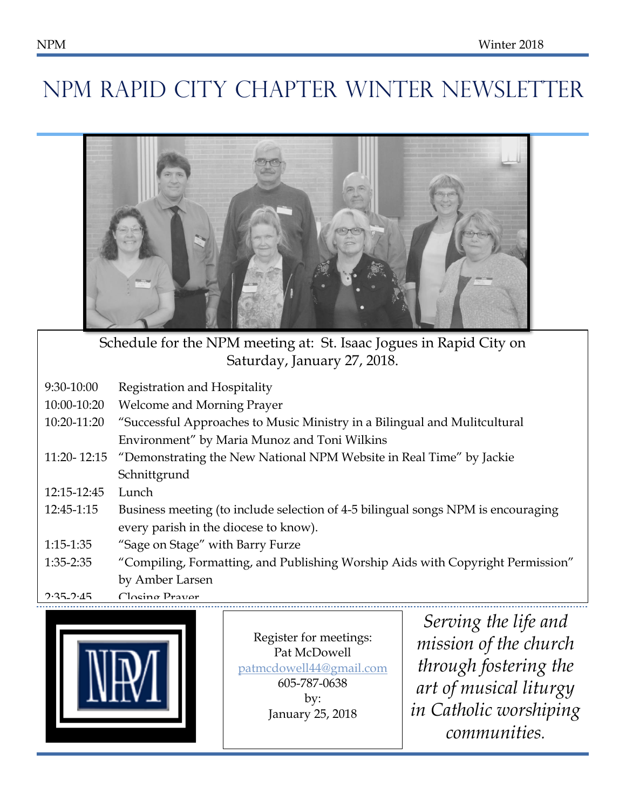# NPM RAPID CITY CHAPTER WINTER NEWSLETTER



Schedule for the NPM meeting at: St. Isaac Jogues in Rapid City on Saturday, January 27, 2018.

- 9:30-10:00 Registration and Hospitality
- 10:00-10:20 Welcome and Morning Prayer
- nd Mulitcultural 10:20-11:20  $\,$  "Successful Approaches to Music Ministry in a Bilingual and Mulitcultural Environment" by Maria Munoz and Toni Wilkins
- 11:20- 12:15 "Demonstrating the New National NPM Website in Real Time" by Jackie Schnittgrund
- 12:15-12:45 Lunch
- 12:45-1:15 Business meeting (to include selection of 4-5 bilingual songs NPM is encouraging every parish in the diocese to know).
- 1:15-1:35 "Sage on Stage" with Barry Furze
- 1:35-2:35 "Compiling, Formatting, and Publishing Worship Aids with Copyright Permission" by Amber Larsen

2:35\_2:<u>45</u> Closing Prayer



**Register for meetings: Example 3** Pat McDowell  $\blacksquare$  Successf[ul Approaches to Music Minis](mailto:patmcdowell44@gmail.com)ters in a Bilingual and  $\blacksquare$  in the patmcdowell44@gmail.com Multicultural Environment et 605-787-0638  $\mathbf{h}$  Municipality  $\mathbf{h}$ Time" by Jackie Schnittgrund by: January 25, 2018

**1** Islamuary 25, 2018 *in Catholic worshiping Serving the life and mission of the church through fostering the art of musical liturgy communities.*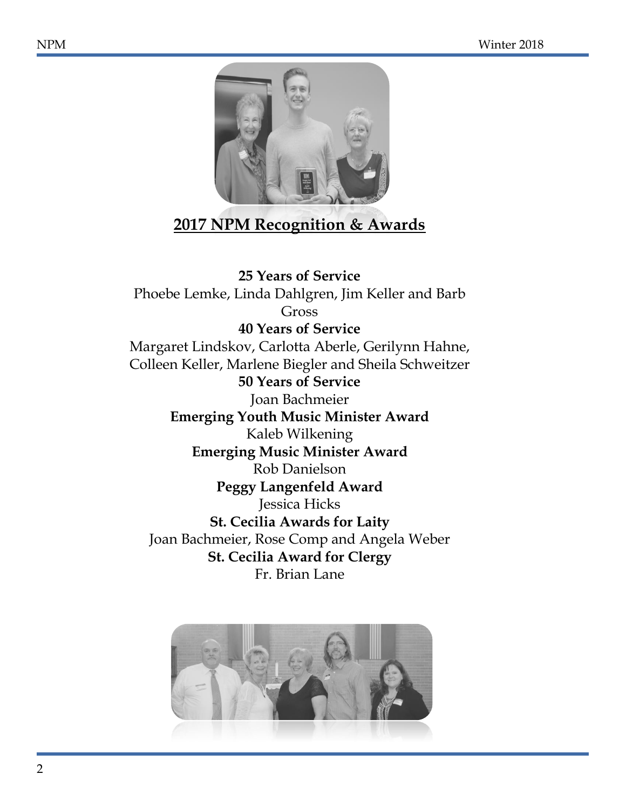

## **2017 NPM Recognition & Awards**

**25 Years of Service** Phoebe Lemke, Linda Dahlgren, Jim Keller and Barb Gross **40 Years of Service** Margaret Lindskov, Carlotta Aberle, Gerilynn Hahne, Colleen Keller, Marlene Biegler and Sheila Schweitzer **50 Years of Service** Joan Bachmeier **Emerging Youth Music Minister Award** Kaleb Wilkening **Emerging Music Minister Award** Rob Danielson **Peggy Langenfeld Award** Jessica Hicks **St. Cecilia Awards for Laity** Joan Bachmeier, Rose Comp and Angela Weber **St. Cecilia Award for Clergy** Fr. Brian Lane

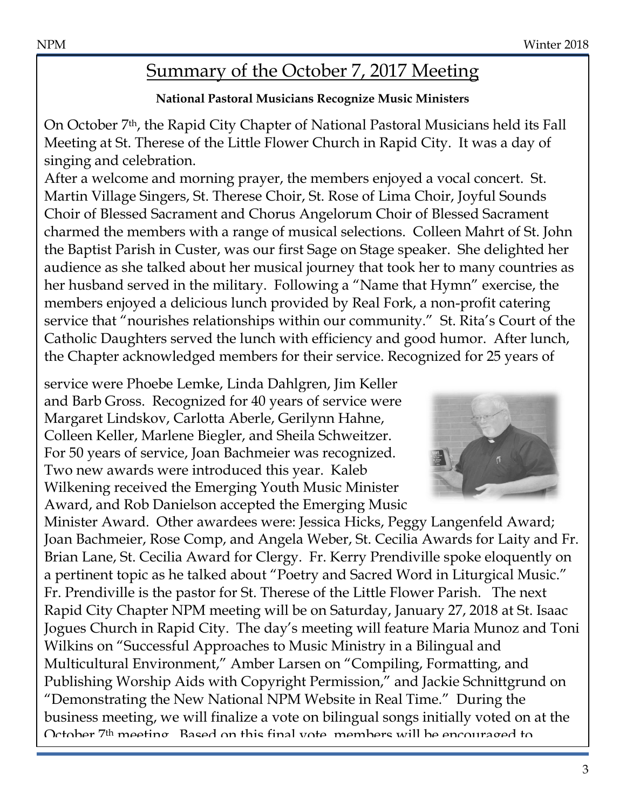# Summary of the October 7, 2017 Meeting

#### **National Pastoral Musicians Recognize Music Ministers**

On October 7th, the Rapid City Chapter of National Pastoral Musicians held its Fall Meeting at St. Therese of the Little Flower Church in Rapid City. It was a day of singing and celebration.

After a welcome and morning prayer, the members enjoyed a vocal concert. St. Martin Village Singers, St. Therese Choir, St. Rose of Lima Choir, Joyful Sounds Choir of Blessed Sacrament and Chorus Angelorum Choir of Blessed Sacrament charmed the members with a range of musical selections. Colleen Mahrt of St. John the Baptist Parish in Custer, was our first Sage on Stage speaker. She delighted her audience as she talked about her musical journey that took her to many countries as her husband served in the military. Following a "Name that Hymn" exercise, the members enjoyed a delicious lunch provided by Real Fork, a non-profit catering service that "nourishes relationships within our community." St. Rita's Court of the Catholic Daughters served the lunch with efficiency and good humor. After lunch, the Chapter acknowledged members for their service. Recognized for 25 years of

service were Phoebe Lemke, Linda Dahlgren, Jim Keller and Barb Gross. Recognized for 40 years of service were Margaret Lindskov, Carlotta Aberle, Gerilynn Hahne, Colleen Keller, Marlene Biegler, and Sheila Schweitzer. For 50 years of service, Joan Bachmeier was recognized. Two new awards were introduced this year. Kaleb Wilkening received the Emerging Youth Music Minister Award, and Rob Danielson accepted the Emerging Music



Minister Award. Other awardees were: Jessica Hicks, Peggy Langenfeld Award; Joan Bachmeier, Rose Comp, and Angela Weber, St. Cecilia Awards for Laity and Fr. Brian Lane, St. Cecilia Award for Clergy. Fr. Kerry Prendiville spoke eloquently on a pertinent topic as he talked about "Poetry and Sacred Word in Liturgical Music." Fr. Prendiville is the pastor for St. Therese of the Little Flower Parish. The next Rapid City Chapter NPM meeting will be on Saturday, January 27, 2018 at St. Isaac Jogues Church in Rapid City. The day's meeting will feature Maria Munoz and Toni Wilkins on "Successful Approaches to Music Ministry in a Bilingual and Multicultural Environment," Amber Larsen on "Compiling, Formatting, and Publishing Worship Aids with Copyright Permission," and Jackie Schnittgrund on "Demonstrating the New National NPM Website in Real Time." During the business meeting, we will finalize a vote on bilingual songs initially voted on at the October 7th meeting. Based on this final vote, members will be encouraged to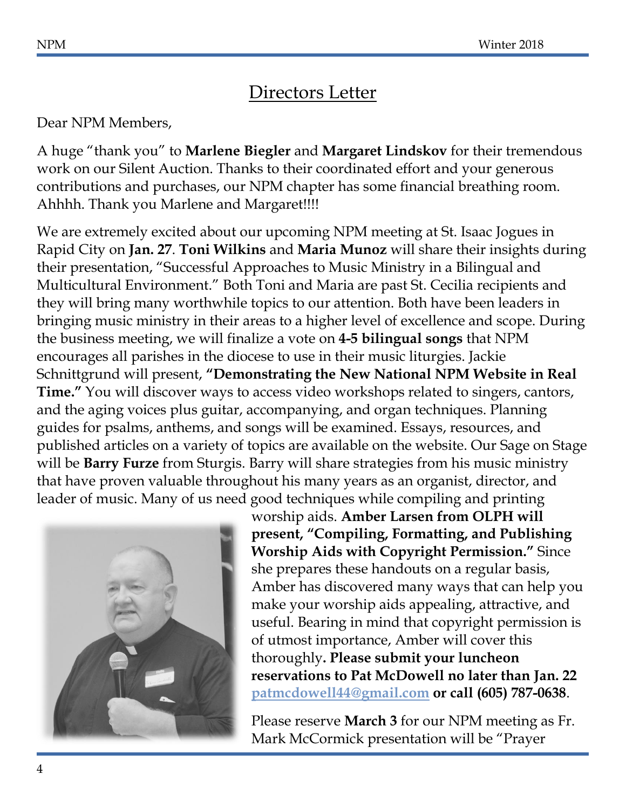### Directors Letter

#### Dear NPM Members,

A huge "thank you" to **Marlene Biegler** and **Margaret Lindskov** for their tremendous work on our Silent Auction. Thanks to their coordinated effort and your generous contributions and purchases, our NPM chapter has some financial breathing room. Ahhhh. Thank you Marlene and Margaret!!!!

We are extremely excited about our upcoming NPM meeting at St. Isaac Jogues in Rapid City on **Jan. 27**. **Toni Wilkins** and **Maria Munoz** will share their insights during their presentation, "Successful Approaches to Music Ministry in a Bilingual and Multicultural Environment." Both Toni and Maria are past St. Cecilia recipients and they will bring many worthwhile topics to our attention. Both have been leaders in bringing music ministry in their areas to a higher level of excellence and scope. During the business meeting, we will finalize a vote on **4-5 bilingual songs** that NPM encourages all parishes in the diocese to use in their music liturgies. Jackie Schnittgrund will present, **"Demonstrating the New National NPM Website in Real Time."** You will discover ways to access video workshops related to singers, cantors, and the aging voices plus guitar, accompanying, and organ techniques. Planning guides for psalms, anthems, and songs will be examined. Essays, resources, and published articles on a variety of topics are available on the website. Our Sage on Stage will be **Barry Furze** from Sturgis. Barry will share strategies from his music ministry that have proven valuable throughout his many years as an organist, director, and leader of music. Many of us need good techniques while compiling and printing



worship aids. **Amber Larsen from OLPH will present, "Compiling, Formatting, and Publishing Worship Aids with Copyright Permission."** Since she prepares these handouts on a regular basis, Amber has discovered many ways that can help you make your worship aids appealing, attractive, and useful. Bearing in mind that copyright permission is of utmost importance, Amber will cover this thoroughly**. Please submit your luncheon reservations to Pat McDowell no later than Jan. 22 [patmcdowell44@gmail.com](mailto:patmcdowell44@gmail.com) or call (605) 787-0638**.

Please reserve **March 3** for our NPM meeting as Fr. Mark McCormick presentation will be "Prayer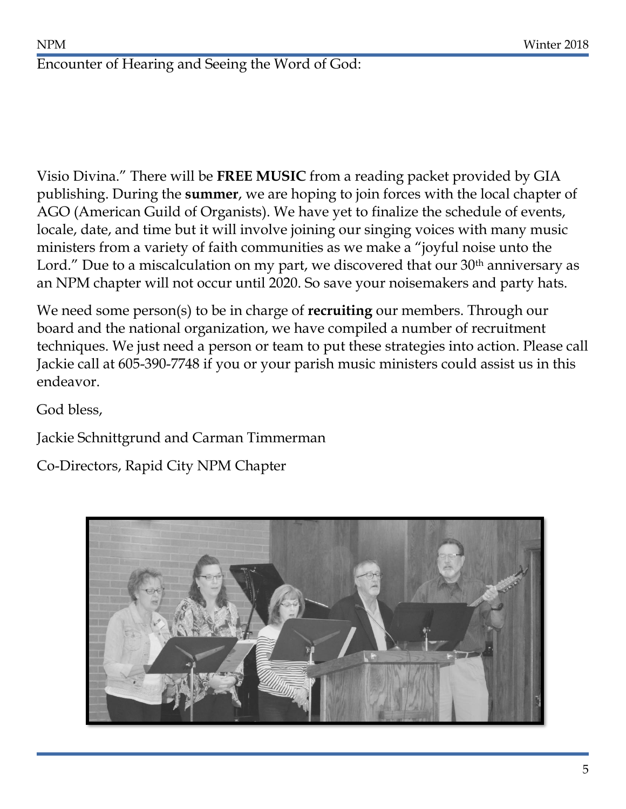### Encounter of Hearing and Seeing the Word of God:

Visio Divina." There will be **FREE MUSIC** from a reading packet provided by GIA publishing. During the **summer**, we are hoping to join forces with the local chapter of AGO (American Guild of Organists). We have yet to finalize the schedule of events, locale, date, and time but it will involve joining our singing voices with many music ministers from a variety of faith communities as we make a "joyful noise unto the Lord." Due to a miscalculation on my part, we discovered that our  $30<sup>th</sup>$  anniversary as an NPM chapter will not occur until 2020. So save your noisemakers and party hats.

We need some person(s) to be in charge of **recruiting** our members. Through our board and the national organization, we have compiled a number of recruitment techniques. We just need a person or team to put these strategies into action. Please call Jackie call at 605-390-7748 if you or your parish music ministers could assist us in this endeavor.

God bless,

Jackie Schnittgrund and Carman Timmerman

Co-Directors, Rapid City NPM Chapter

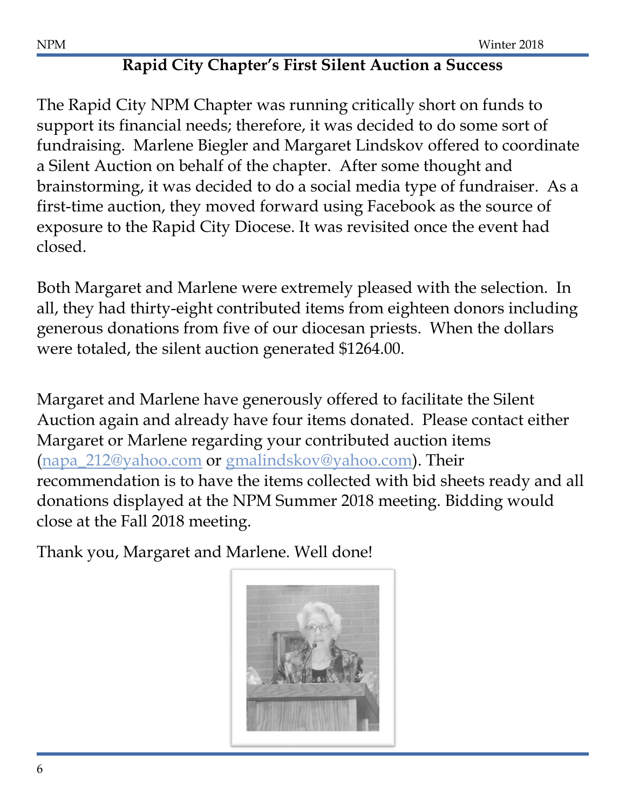## **Rapid City Chapter's First Silent Auction a Success**

The Rapid City NPM Chapter was running critically short on funds to support its financial needs; therefore, it was decided to do some sort of fundraising. Marlene Biegler and Margaret Lindskov offered to coordinate a Silent Auction on behalf of the chapter. After some thought and brainstorming, it was decided to do a social media type of fundraiser. As a first-time auction, they moved forward using Facebook as the source of exposure to the Rapid City Diocese. It was revisited once the event had closed.

Both Margaret and Marlene were extremely pleased with the selection. In all, they had thirty-eight contributed items from eighteen donors including generous donations from five of our diocesan priests. When the dollars were totaled, the silent auction generated \$1264.00.

Margaret and Marlene have generously offered to facilitate the Silent Auction again and already have four items donated. Please contact either Margaret or Marlene regarding your contributed auction items [\(napa\\_212@yahoo.com](mailto:napa_212@yahoo.com) or [gmalindskov@yahoo.com\)](mailto:gmalindskov@yahoo.com). Their recommendation is to have the items collected with bid sheets ready and all donations displayed at the NPM Summer 2018 meeting. Bidding would close at the Fall 2018 meeting.

Thank you, Margaret and Marlene. Well done!

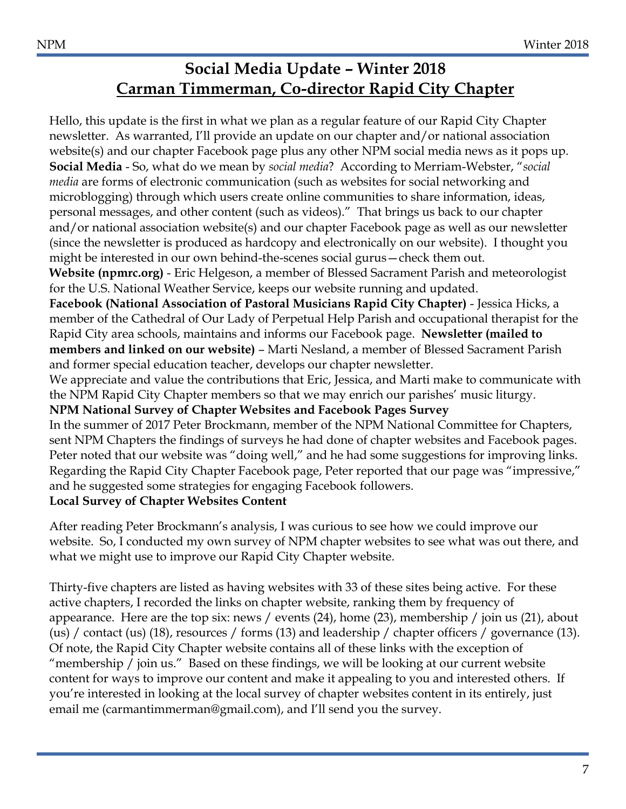### **Social Media Update – Winter 2018 Carman Timmerman, Co-director Rapid City Chapter**

Hello, this update is the first in what we plan as a regular feature of our Rapid City Chapter newsletter. As warranted, I'll provide an update on our chapter and/or national association website(s) and our chapter Facebook page plus any other NPM social media news as it pops up. **Social Media** - So, what do we mean by *social media*? According to Merriam-Webster, "*social media* are forms of electronic communication (such as websites for social networking and microblogging) through which users create online communities to share information, ideas, personal messages, and other content (such as videos)." That brings us back to our chapter and/or national association website(s) and our chapter Facebook page as well as our newsletter (since the newsletter is produced as hardcopy and electronically on our website). I thought you might be interested in our own behind-the-scenes social gurus—check them out. **Website (npmrc.org)** - Eric Helgeson, a member of Blessed Sacrament Parish and meteorologist for the U.S. National Weather Service, keeps our website running and updated. **Facebook (National Association of Pastoral Musicians Rapid City Chapter)** - Jessica Hicks, a member of the Cathedral of Our Lady of Perpetual Help Parish and occupational therapist for the Rapid City area schools, maintains and informs our Facebook page. **Newsletter (mailed to members and linked on our website)** – Marti Nesland, a member of Blessed Sacrament Parish and former special education teacher, develops our chapter newsletter. We appreciate and value the contributions that Eric, Jessica, and Marti make to communicate with the NPM Rapid City Chapter members so that we may enrich our parishes' music liturgy. **NPM National Survey of Chapter Websites and Facebook Pages Survey** In the summer of 2017 Peter Brockmann, member of the NPM National Committee for Chapters, sent NPM Chapters the findings of surveys he had done of chapter websites and Facebook pages. Peter noted that our website was "doing well," and he had some suggestions for improving links. Regarding the Rapid City Chapter Facebook page, Peter reported that our page was "impressive," and he suggested some strategies for engaging Facebook followers. **Local Survey of Chapter Websites Content**

After reading Peter Brockmann's analysis, I was curious to see how we could improve our website. So, I conducted my own survey of NPM chapter websites to see what was out there, and what we might use to improve our Rapid City Chapter website.

Thirty-five chapters are listed as having websites with 33 of these sites being active. For these active chapters, I recorded the links on chapter website, ranking them by frequency of appearance. Here are the top six: news / events (24), home (23), membership / join us (21), about (us) / contact (us) (18), resources / forms (13) and leadership / chapter officers / governance (13). Of note, the Rapid City Chapter website contains all of these links with the exception of "membership / join us." Based on these findings, we will be looking at our current website content for ways to improve our content and make it appealing to you and interested others. If you're interested in looking at the local survey of chapter websites content in its entirely, just email me (carmantimmerman@gmail.com), and I'll send you the survey.